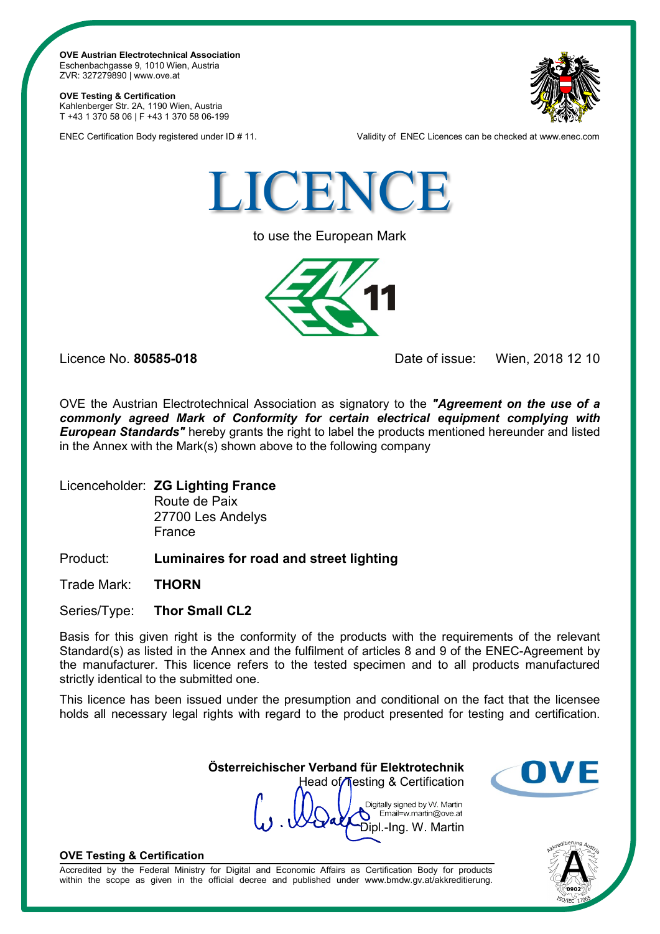**OVE Austrian Electrotechnical Association** Eschenbachgasse 9, 1010 Wien, Austria ZVR: 327279890 | www.ove.at

**OVE Testing & Certification** Kahlenberger Str. 2A, 1190 Wien, Austria T +43 1 370 58 06 | F +43 1 370 58 06-199



ENEC Certification Body registered under ID # 11. Validity of ENEC Licences can be checked at www.enec.com



to use the European Mark



Licence No. **80585-018** Date of issue: Wien, 2018 12 10

OVE the Austrian Electrotechnical Association as signatory to the *"Agreement on the use of a commonly agreed Mark of Conformity for certain electrical equipment complying with European Standards"* hereby grants the right to label the products mentioned hereunder and listed in the Annex with the Mark(s) shown above to the following company

Licenceholder: **ZG Lighting France** Route de Paix

27700 Les Andelys France

Product: **Luminaires for road and street lighting**

Trade Mark: **THORN**

Series/Type: **Thor Small CL2**

Basis for this given right is the conformity of the products with the requirements of the relevant Standard(s) as listed in the Annex and the fulfilment of articles 8 and 9 of the ENEC-Agreement by the manufacturer. This licence refers to the tested specimen and to all products manufactured strictly identical to the submitted one.

This licence has been issued under the presumption and conditional on the fact that the licensee holds all necessary legal rights with regard to the product presented for testing and certification.

> **Österreichischer Verband für Elektrotechnik** Head of Testing & Certification

Digitally signed by W. Martin Email=w.martin@ove.at Dipl.-Ing. W. Martin



## **OVE Testing & Certification**

Accredited by the Federal Ministry for Digital and Economic Affairs as Certification Body for products within the scope as given in the official decree and published under www.bmdw.gv.at/akkreditierung.

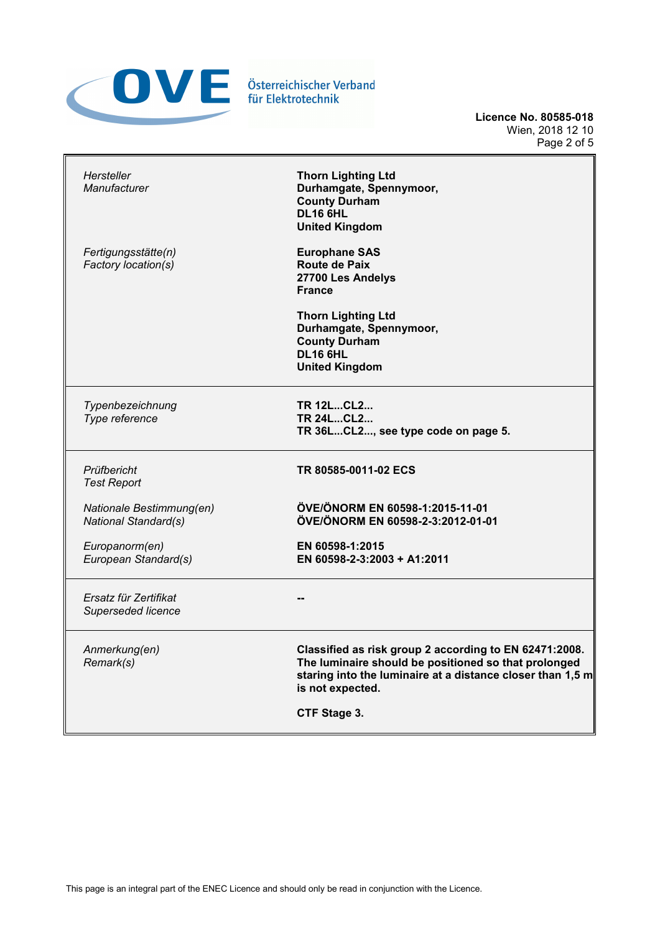

**Licence No. 80585-018** Wien, 2018 12 10 Page 2 of 5

| Hersteller<br>Manufacturer                       | <b>Thorn Lighting Ltd</b><br>Durhamgate, Spennymoor,<br><b>County Durham</b><br>DL16 6HL<br><b>United Kingdom</b>                                                                                |
|--------------------------------------------------|--------------------------------------------------------------------------------------------------------------------------------------------------------------------------------------------------|
| Fertigungsstätte(n)<br>Factory location(s)       | <b>Europhane SAS</b><br>Route de Paix<br>27700 Les Andelys<br><b>France</b>                                                                                                                      |
|                                                  | <b>Thorn Lighting Ltd</b><br>Durhamgate, Spennymoor,<br><b>County Durham</b><br><b>DL16 6HL</b><br><b>United Kingdom</b>                                                                         |
| Typenbezeichnung<br>Type reference               | <b>TR 12LCL2</b><br><b>TR 24LCL2</b><br>TR 36LCL2, see type code on page 5.                                                                                                                      |
| Prüfbericht<br><b>Test Report</b>                | TR 80585-0011-02 ECS                                                                                                                                                                             |
| Nationale Bestimmung(en)<br>National Standard(s) | ÖVE/ÖNORM EN 60598-1:2015-11-01<br>ÖVE/ÖNORM EN 60598-2-3:2012-01-01                                                                                                                             |
| Europanorm(en)<br>European Standard(s)           | EN 60598-1:2015<br>EN 60598-2-3:2003 + A1:2011                                                                                                                                                   |
| Ersatz für Zertifikat<br>Superseded licence      |                                                                                                                                                                                                  |
| Anmerkung(en)<br>Remark(s)                       | Classified as risk group 2 according to EN 62471:2008.<br>The luminaire should be positioned so that prolonged<br>staring into the luminaire at a distance closer than 1,5 m<br>is not expected. |
|                                                  | CTF Stage 3.                                                                                                                                                                                     |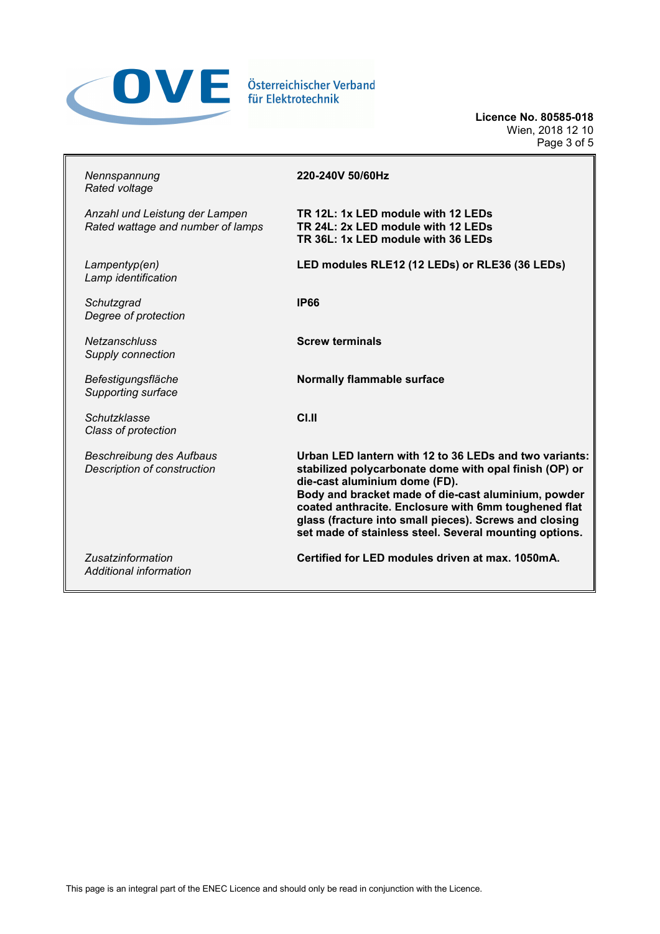

**Licence No. 80585-018** Wien, 2018 12 10 Page 3 of 5

| Nennspannung<br>Rated voltage                                       | 220-240V 50/60Hz                                                                                                                                                                                                                                                                                                                                                                     |
|---------------------------------------------------------------------|--------------------------------------------------------------------------------------------------------------------------------------------------------------------------------------------------------------------------------------------------------------------------------------------------------------------------------------------------------------------------------------|
| Anzahl und Leistung der Lampen<br>Rated wattage and number of lamps | TR 12L: 1x LED module with 12 LEDs<br>TR 24L: 2x LED module with 12 LEDs<br>TR 36L: 1x LED module with 36 LEDs                                                                                                                                                                                                                                                                       |
| Lampentyp(en)<br>Lamp identification                                | LED modules RLE12 (12 LEDs) or RLE36 (36 LEDs)                                                                                                                                                                                                                                                                                                                                       |
| Schutzgrad<br>Degree of protection                                  | <b>IP66</b>                                                                                                                                                                                                                                                                                                                                                                          |
| <b>Netzanschluss</b><br>Supply connection                           | <b>Screw terminals</b>                                                                                                                                                                                                                                                                                                                                                               |
| Befestigungsfläche<br>Supporting surface                            | <b>Normally flammable surface</b>                                                                                                                                                                                                                                                                                                                                                    |
| Schutzklasse<br>Class of protection                                 | CLII                                                                                                                                                                                                                                                                                                                                                                                 |
| <b>Beschreibung des Aufbaus</b><br>Description of construction      | Urban LED lantern with 12 to 36 LEDs and two variants:<br>stabilized polycarbonate dome with opal finish (OP) or<br>die-cast aluminium dome (FD).<br>Body and bracket made of die-cast aluminium, powder<br>coated anthracite. Enclosure with 6mm toughened flat<br>glass (fracture into small pieces). Screws and closing<br>set made of stainless steel. Several mounting options. |
| <b>Zusatzinformation</b><br>Additional information                  | Certified for LED modules driven at max. 1050mA.                                                                                                                                                                                                                                                                                                                                     |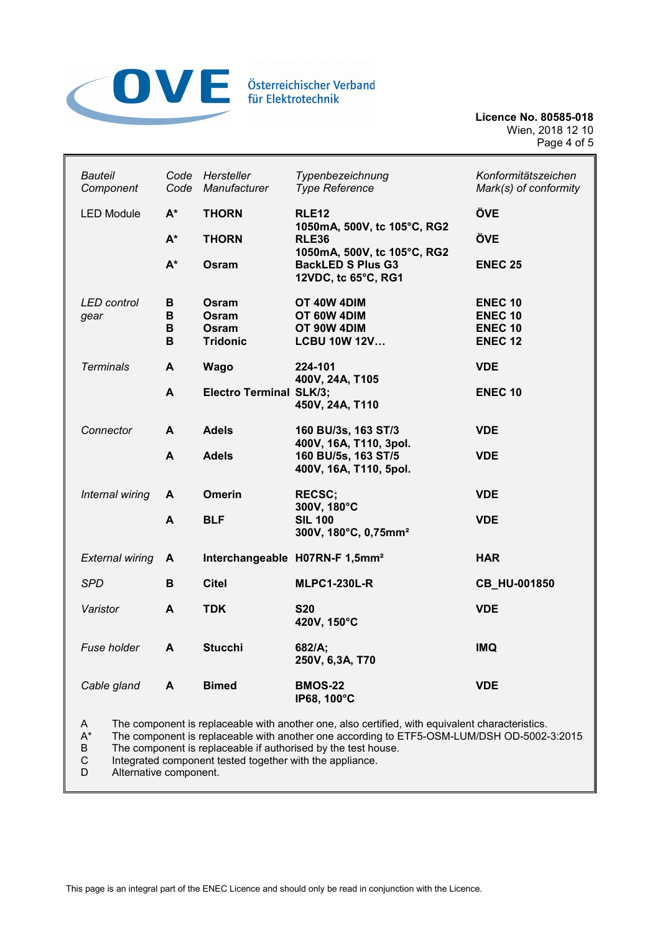

**Licence No. 80585-018** Wien, 2018 12 10 Page 4 of 5

| <b>Bauteil</b><br>Component                                                                                                                                                                                                | Code<br>Code     | Hersteller<br>Manufacturer                 | Typenbezeichnung<br><b>Type Reference</b>                                      | Konformitätszeichen<br>Mark(s) of conformity                         |  |
|----------------------------------------------------------------------------------------------------------------------------------------------------------------------------------------------------------------------------|------------------|--------------------------------------------|--------------------------------------------------------------------------------|----------------------------------------------------------------------|--|
| <b>LED Module</b>                                                                                                                                                                                                          | $A^*$            | <b>THORN</b>                               | <b>RLE12</b>                                                                   | ÖVE                                                                  |  |
|                                                                                                                                                                                                                            | $A^*$            | <b>THORN</b>                               | 1050mA, 500V, tc 105°C, RG2<br><b>RLE36</b>                                    | ÖVE                                                                  |  |
|                                                                                                                                                                                                                            | $A^*$            | Osram                                      | 1050mA, 500V, tc 105°C, RG2<br><b>BackLED S Plus G3</b><br>12VDC, tc 65°C, RG1 | <b>ENEC 25</b>                                                       |  |
| <b>LED</b> control<br>gear                                                                                                                                                                                                 | В<br>В<br>В<br>B | Osram<br>Osram<br>Osram<br><b>Tridonic</b> | OT 40W 4DIM<br>OT 60W 4DIM<br>OT 90W 4DIM<br><b>LCBU 10W 12V</b>               | <b>ENEC 10</b><br><b>ENEC 10</b><br><b>ENEC 10</b><br><b>ENEC 12</b> |  |
| <b>Terminals</b>                                                                                                                                                                                                           | A                | <b>Wago</b>                                | 224-101                                                                        | <b>VDE</b>                                                           |  |
|                                                                                                                                                                                                                            | A                | <b>Electro Terminal SLK/3;</b>             | 400V, 24A, T105<br>450V, 24A, T110                                             | <b>ENEC 10</b>                                                       |  |
| Connector                                                                                                                                                                                                                  | A                | <b>Adels</b>                               | 160 BU/3s, 163 ST/3<br>400V, 16A, T110, 3pol.                                  | <b>VDE</b>                                                           |  |
|                                                                                                                                                                                                                            | A                | <b>Adels</b>                               | 160 BU/5s, 163 ST/5<br>400V, 16A, T110, 5pol.                                  | <b>VDE</b>                                                           |  |
| Internal wiring                                                                                                                                                                                                            | A                | <b>Omerin</b>                              | <b>RECSC;</b>                                                                  | <b>VDE</b>                                                           |  |
|                                                                                                                                                                                                                            | A                | <b>BLF</b>                                 | 300V, 180°C<br><b>SIL 100</b><br>300V, 180°C, 0,75mm <sup>2</sup>              | <b>VDE</b>                                                           |  |
| <b>External wiring</b>                                                                                                                                                                                                     | A                |                                            | Interchangeable H07RN-F 1,5mm <sup>2</sup>                                     | <b>HAR</b>                                                           |  |
| <b>SPD</b>                                                                                                                                                                                                                 | В                | <b>Citel</b>                               | <b>MLPC1-230L-R</b>                                                            | CB_HU-001850                                                         |  |
| Varistor                                                                                                                                                                                                                   | A                | <b>TDK</b>                                 | <b>S20</b><br>420V, 150°C                                                      | <b>VDE</b>                                                           |  |
| Fuse holder                                                                                                                                                                                                                | A                | <b>Stucchi</b>                             | 682/A;<br>250V, 6,3A, T70                                                      | <b>IMQ</b>                                                           |  |
| Cable gland                                                                                                                                                                                                                | A                | <b>Bimed</b>                               | <b>BMOS-22</b><br>IP68, 100°C                                                  | <b>VDE</b>                                                           |  |
| The component is replaceable with another one, also certified, with equivalent characteristics.<br>A<br>$\mathsf{A}^{\star}$<br>The component is replaceable with another one according to ETF5-OSM-LUM/DSH OD-5002-3:2015 |                  |                                            |                                                                                |                                                                      |  |

B The component is replaceable if authorised by the test house.<br>C Integrated component tested together with the appliance.

C Integrated component tested together with the appliance.

Alternative component.